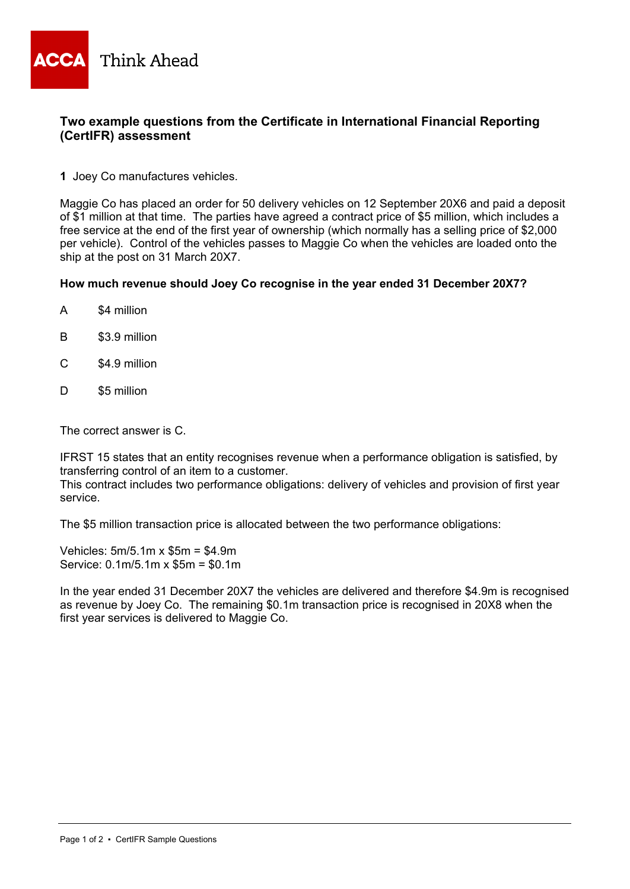

## **Two example questions from the Certificate in International Financial Reporting (CertIFR) assessment**

**1** Joey Co manufactures vehicles.

Maggie Co has placed an order for 50 delivery vehicles on 12 September 20X6 and paid a deposit of \$1 million at that time. The parties have agreed a contract price of \$5 million, which includes a free service at the end of the first year of ownership (which normally has a selling price of \$2,000 per vehicle). Control of the vehicles passes to Maggie Co when the vehicles are loaded onto the ship at the post on 31 March 20X7.

## **How much revenue should Joey Co recognise in the year ended 31 December 20X7?**

- A \$4 million
- B \$3.9 million
- C \$4.9 million
- D \$5 million

The correct answer is C.

IFRST 15 states that an entity recognises revenue when a performance obligation is satisfied, by transferring control of an item to a customer.

This contract includes two performance obligations: delivery of vehicles and provision of first year service.

The \$5 million transaction price is allocated between the two performance obligations:

Vehicles: 5m/5.1m x \$5m = \$4.9m Service: 0.1m/5.1m x \$5m = \$0.1m

In the year ended 31 December 20X7 the vehicles are delivered and therefore \$4.9m is recognised as revenue by Joey Co. The remaining \$0.1m transaction price is recognised in 20X8 when the first year services is delivered to Maggie Co.